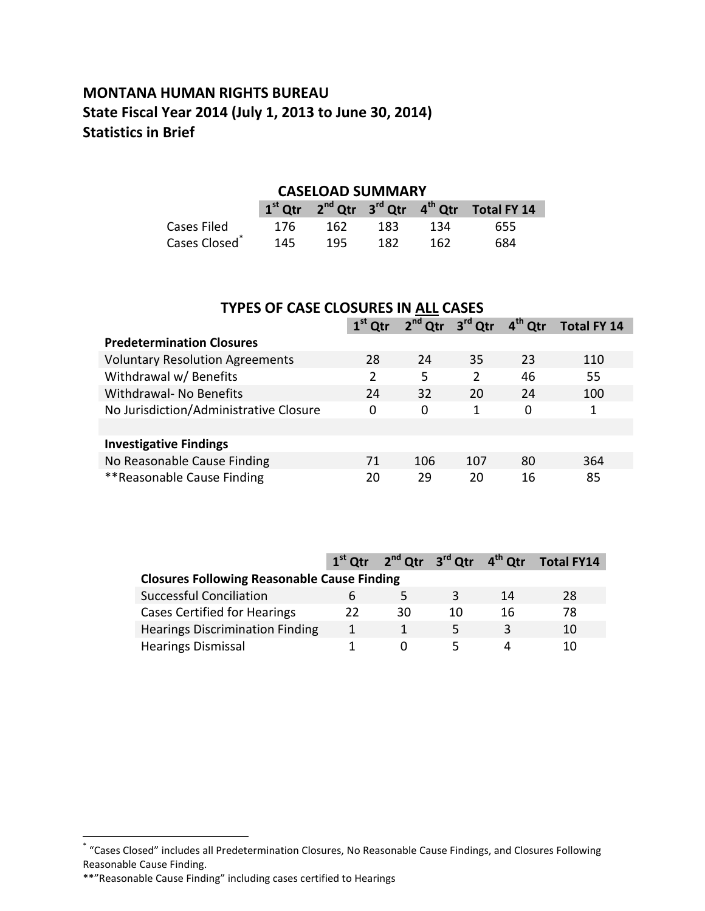### **MONTANA HUMAN RIGHTS BUREAU State Fiscal Year 2014 (July 1, 2013 to June 30, 2014) Statistics in Brief**

#### **CASELOAD SUMMARY**

|                           |     |     |     |      | $1st$ Qtr $2nd$ Qtr $3rd$ Qtr $4th$ Qtr Total FY 14 |
|---------------------------|-----|-----|-----|------|-----------------------------------------------------|
| Cases Filed               | 176 | 162 | 183 | 134  | 655                                                 |
| Cases Closed <sup>®</sup> | 145 | 195 | 182 | -162 | 684                                                 |

| <b>TYPES OF CASE CLOSURES IN ALL CASES</b>                                              |    |     |                |    |     |  |  |  |  |
|-----------------------------------------------------------------------------------------|----|-----|----------------|----|-----|--|--|--|--|
| 2 <sup>nd</sup> Qtr 3 <sup>rd</sup> Qtr<br>$4th$ Otr<br>$1st$ Qtr<br><b>Total FY 14</b> |    |     |                |    |     |  |  |  |  |
| <b>Predetermination Closures</b>                                                        |    |     |                |    |     |  |  |  |  |
| <b>Voluntary Resolution Agreements</b>                                                  | 28 | 24  | 35             | 23 | 110 |  |  |  |  |
| Withdrawal w/ Benefits                                                                  | 2  | 5   | $\overline{2}$ | 46 | 55  |  |  |  |  |
| Withdrawal- No Benefits                                                                 | 24 | 32  | 20             | 24 | 100 |  |  |  |  |
| No Jurisdiction/Administrative Closure                                                  | 0  | 0   | 1              | 0  |     |  |  |  |  |
|                                                                                         |    |     |                |    |     |  |  |  |  |
| <b>Investigative Findings</b>                                                           |    |     |                |    |     |  |  |  |  |
| No Reasonable Cause Finding                                                             | 71 | 106 | 107            | 80 | 364 |  |  |  |  |
| **Reasonable Cause Finding                                                              | 20 | 29  | 20             | 16 | 85  |  |  |  |  |

|                                                    |    |              |    |    | $1st$ Qtr $2nd$ Qtr $3rd$ Qtr $4th$ Qtr Total FY14 |  |  |  |
|----------------------------------------------------|----|--------------|----|----|----------------------------------------------------|--|--|--|
| <b>Closures Following Reasonable Cause Finding</b> |    |              |    |    |                                                    |  |  |  |
| <b>Successful Conciliation</b>                     |    | <del>ר</del> | R  | 14 | 28                                                 |  |  |  |
| <b>Cases Certified for Hearings</b>                | 22 | 30           | 10 | 16 | 78                                                 |  |  |  |
| <b>Hearings Discrimination Finding</b>             |    |              | 5  |    | 10                                                 |  |  |  |
| <b>Hearings Dismissal</b>                          |    |              |    |    | 10                                                 |  |  |  |

 \* "Cases Closed" includes all Predetermination Closures, No Reasonable Cause Findings, and Closures Following Reasonable Cause Finding.

<sup>\*\*&</sup>quot;Reasonable Cause Finding" including cases certified to Hearings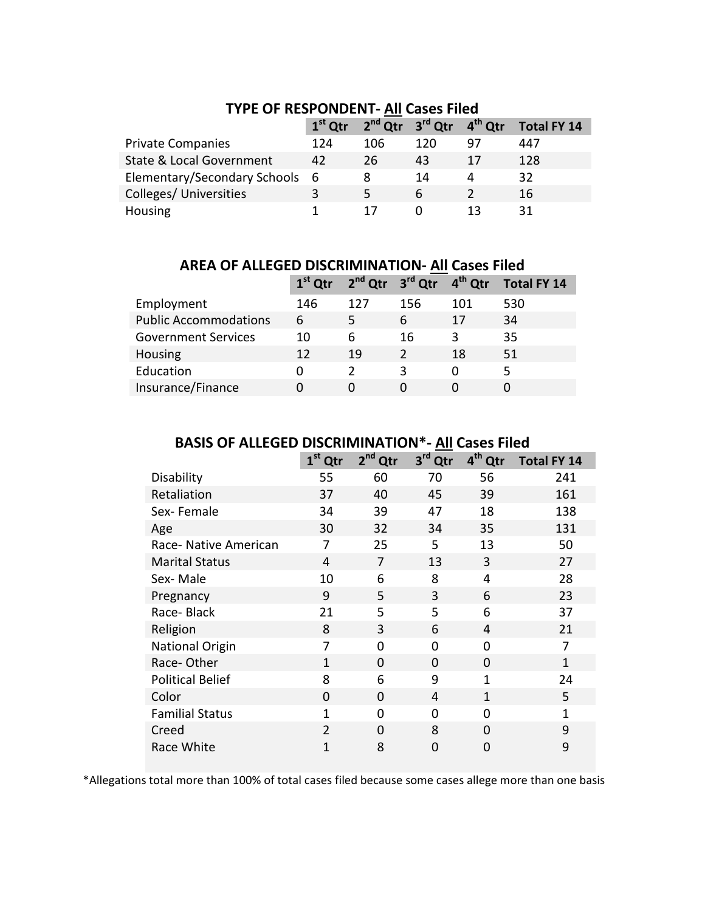|                                | $1st$ Qtr |     | $2^{nd}$ Qtr $3^{rd}$ Qtr $4^{th}$ Qtr |    | Total FY 14 |
|--------------------------------|-----------|-----|----------------------------------------|----|-------------|
| <b>Private Companies</b>       | 124       | 106 | 120                                    | 97 | 447         |
| State & Local Government       | 42        | 26  | 43                                     | 17 | 128         |
| Elementary/Secondary Schools 6 |           | 8   | 14                                     | 4  | 32          |
| Colleges/ Universities         | 3         |     | 6                                      |    | 16          |
| Housing                        |           |     |                                        | 13 | 31          |

#### **TYPE OF RESPONDENT- All Cases Filed**

**AREA OF ALLEGED DISCRIMINATION- All Cases Filed**

|                              |     | 1 <sup>st</sup> Qtr 2 <sup>nd</sup> Qtr 3 <sup>rd</sup> Qtr 4 <sup>th</sup> Qtr |     |     | <b>Total FY 14</b> |
|------------------------------|-----|---------------------------------------------------------------------------------|-----|-----|--------------------|
| Employment                   | 146 | 127                                                                             | 156 | 101 | 530                |
| <b>Public Accommodations</b> | 6   | 5.                                                                              | 6   | 17  | 34                 |
| <b>Government Services</b>   | 10  | 6                                                                               | 16  | 3   | 35                 |
| Housing                      | 12  | 19                                                                              |     | 18  | 51                 |
| Education                    | O   |                                                                                 | ς   | O   | 5                  |
| Insurance/Finance            | O   |                                                                                 |     |     |                    |
|                              |     |                                                                                 |     |     |                    |

### **BASIS OF ALLEGED DISCRIMINATION\*- All Cases Filed**

|                         | $1st$ Qtr      | 2 <sup>nd</sup> Qtr | 3 <sup>rd</sup> Qtr | 4 <sup>th</sup> Qtr | <b>Total FY 14</b> |
|-------------------------|----------------|---------------------|---------------------|---------------------|--------------------|
| Disability              | 55             | 60                  | 70                  | 56                  | 241                |
| Retaliation             | 37             | 40                  | 45                  | 39                  | 161                |
| Sex-Female              | 34             | 39                  | 47                  | 18                  | 138                |
| Age                     | 30             | 32                  | 34                  | 35                  | 131                |
| Race- Native American   | 7              | 25                  | 5                   | 13                  | 50                 |
| <b>Marital Status</b>   | 4              | 7                   | 13                  | 3                   | 27                 |
| Sex-Male                | 10             | 6                   | 8                   | 4                   | 28                 |
| Pregnancy               | 9              | 5                   | 3                   | 6                   | 23                 |
| Race-Black              | 21             | 5                   | 5                   | 6                   | 37                 |
| Religion                | 8              | 3                   | 6                   | 4                   | 21                 |
| <b>National Origin</b>  | 7              | 0                   | $\overline{0}$      | 0                   | 7                  |
| Race-Other              | 1              | 0                   | 0                   | 0                   | $\mathbf{1}$       |
| <b>Political Belief</b> | 8              | 6                   | 9                   | 1                   | 24                 |
| Color                   | $\overline{0}$ | 0                   | 4                   | 1                   | 5                  |
| <b>Familial Status</b>  | 1              | 0                   | $\Omega$            | 0                   | 1                  |
| Creed                   | $\overline{2}$ | $\Omega$            | 8                   | $\Omega$            | 9                  |
| Race White              | 1              | 8                   | 0                   | 0                   | 9                  |

\*Allegations total more than 100% of total cases filed because some cases allege more than one basis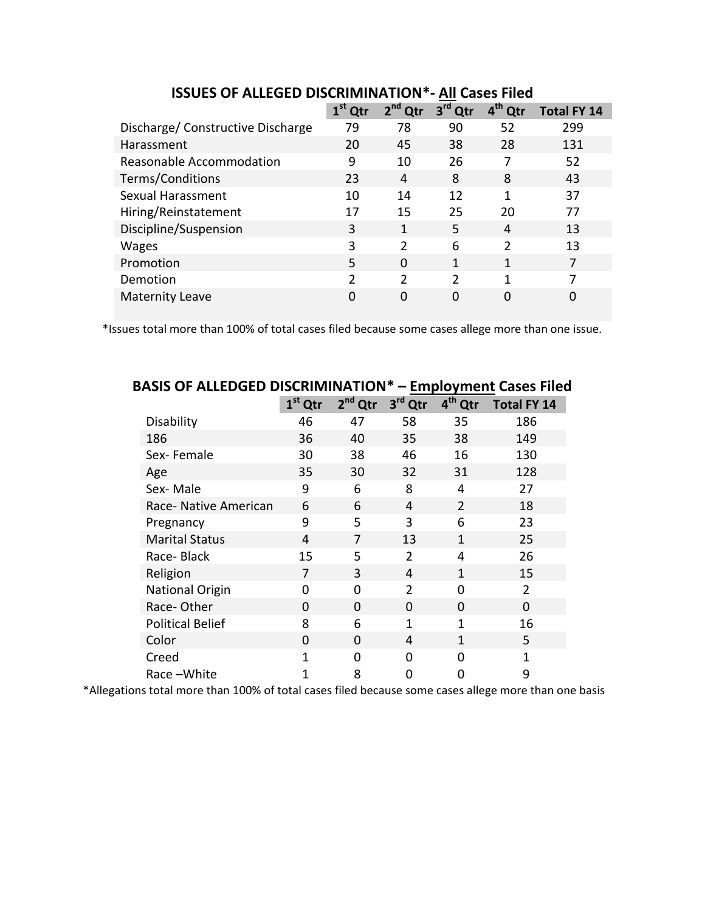|                                   |               |               |                        | AII CUJLJ I IILU    |                    |
|-----------------------------------|---------------|---------------|------------------------|---------------------|--------------------|
|                                   | $1st$ Qtr     | $2nd$ Qtr     | 3 <sup>rd</sup><br>Qtr | 4 <sup>th</sup> Qtr | <b>Total FY 14</b> |
| Discharge/ Constructive Discharge | 79            | 78            | 90                     | 52                  | 299                |
| Harassment                        | 20            | 45            | 38                     | 28                  | 131                |
| Reasonable Accommodation          | 9             | 10            | 26                     | 7                   | 52                 |
| Terms/Conditions                  | 23            | 4             | 8                      | 8                   | 43                 |
| Sexual Harassment                 | 10            | 14            | 12                     | 1                   | 37                 |
| Hiring/Reinstatement              | 17            | 15            | 25                     | 20                  | 77                 |
| Discipline/Suspension             | 3             | 1             | 5                      | 4                   | 13                 |
| <b>Wages</b>                      | 3             | $\mathcal{P}$ | 6                      | $\mathcal{P}$       | 13                 |
| Promotion                         | 5             | 0             | 1                      | 1                   | 7                  |
| Demotion                          | $\mathfrak z$ | $\mathcal{P}$ | $\mathfrak{p}$         | 1                   | 7                  |
| <b>Maternity Leave</b>            | 0             | 0             | $\Omega$               | 0                   | 0                  |

**ISSUES OF ALLEGED DISCRIMINATION\*- All Cases Filed**

\*Issues total more than 100% of total cases filed because some cases allege more than one issue.

|                         |           |                     | <b>LUIPIOTIILUI CUJCJ</b> |                     |                    |  |
|-------------------------|-----------|---------------------|---------------------------|---------------------|--------------------|--|
|                         | $1st$ Qtr | 2 <sup>nd</sup> Qtr | 3 <sup>rd</sup><br>Qtr    | 4 <sup>th</sup> Qtr | <b>Total FY 14</b> |  |
| Disability              | 46        | 47                  | 58                        | 35                  | 186                |  |
| 186                     | 36        | 40                  | 35                        | 38                  | 149                |  |
| Sex-Female              | 30        | 38                  | 46                        | 16                  | 130                |  |
| Age                     | 35        | 30                  | 32                        | 31                  | 128                |  |
| Sex-Male                | 9         | 6                   | 8                         | 4                   | 27                 |  |
| Race- Native American   | 6         | 6                   | 4                         | $\overline{2}$      | 18                 |  |
| Pregnancy               | 9         | 5                   | 3                         | 6                   | 23                 |  |
| <b>Marital Status</b>   | 4         | 7                   | 13                        | $\mathbf{1}$        | 25                 |  |
| Race-Black              | 15        | 5                   | $\overline{2}$            | 4                   | 26                 |  |
| Religion                | 7         | 3                   | 4                         | 1                   | 15                 |  |
| <b>National Origin</b>  | O         | 0                   | $\overline{2}$            | 0                   | 2                  |  |
| Race-Other              | $\Omega$  | $\Omega$            | $\Omega$                  | $\Omega$            | $\Omega$           |  |
| <b>Political Belief</b> | 8         | 6                   | 1                         | 1                   | 16                 |  |
| Color                   | $\Omega$  | $\Omega$            | 4                         | 1                   | 5                  |  |
| Creed                   | 1         | $\Omega$            | 0                         | 0                   | $\mathbf{1}$       |  |
| Race-White              | 1         | 8                   | 0                         | 0                   | 9                  |  |

## **BASIS OF ALLEDGED DISCRIMINATION\* – Employment Cases Filed**

\*Allegations total more than 100% of total cases filed because some cases allege more than one basis